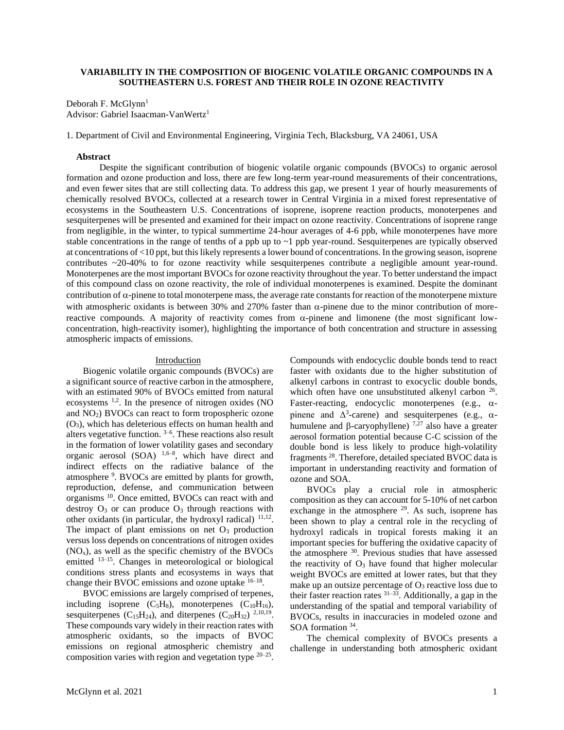# **VARIABILITY IN THE COMPOSITION OF BIOGENIC VOLATILE ORGANIC COMPOUNDS IN A SOUTHEASTERN U.S. FOREST AND THEIR ROLE IN OZONE REACTIVITY**

Deborah F. McGlynn<sup>1</sup> Advisor: Gabriel Isaacman-VanWertz<sup>1</sup>

1. Department of Civil and Environmental Engineering, Virginia Tech, Blacksburg, VA 24061, USA

#### **Abstract**

Despite the significant contribution of biogenic volatile organic compounds (BVOCs) to organic aerosol formation and ozone production and loss, there are few long-term year-round measurements of their concentrations, and even fewer sites that are still collecting data. To address this gap, we present 1 year of hourly measurements of chemically resolved BVOCs, collected at a research tower in Central Virginia in a mixed forest representative of ecosystems in the Southeastern U.S. Concentrations of isoprene, isoprene reaction products, monoterpenes and sesquiterpenes will be presented and examined for their impact on ozone reactivity. Concentrations of isoprene range from negligible, in the winter, to typical summertime 24-hour averages of 4-6 ppb, while monoterpenes have more stable concentrations in the range of tenths of a ppb up to  $\sim$ 1 ppb year-round. Sesquiterpenes are typically observed at concentrations of <10 ppt, but this likely represents a lower bound of concentrations. In the growing season, isoprene contributes ~20-40% to for ozone reactivity while sesquiterpenes contribute a negligible amount year-round. Monoterpenes are the most important BVOCs for ozone reactivity throughout the year. To better understand the impact of this compound class on ozone reactivity, the role of individual monoterpenes is examined. Despite the dominant contribution of  $\alpha$ -pinene to total monoterpene mass, the average rate constants for reaction of the monoterpene mixture with atmospheric oxidants is between 30% and 270% faster than  $\alpha$ -pinene due to the minor contribution of morereactive compounds. A majority of reactivity comes from  $\alpha$ -pinene and limonene (the most significant lowconcentration, high-reactivity isomer), highlighting the importance of both concentration and structure in assessing atmospheric impacts of emissions.

#### **Introduction**

Biogenic volatile organic compounds (BVOCs) are a significant source of reactive carbon in the atmosphere, with an estimated 90% of BVOCs emitted from natural ecosystems 1,2. In the presence of nitrogen oxides (NO and  $NO<sub>2</sub>$ ) BVOCs can react to form tropospheric ozone  $(O<sub>3</sub>)$ , which has deleterious effects on human health and alters vegetative function.  $3-6$ . These reactions also result in the formation of lower volatility gases and secondary organic aerosol  $(SOA)$ <sup>1,6-8</sup>, which have direct and indirect effects on the radiative balance of the atmosphere <sup>9</sup>. BVOCs are emitted by plants for growth, reproduction, defense, and communication between organisms <sup>10</sup>. Once emitted, BVOCs can react with and destroy  $O_3$  or can produce  $O_3$  through reactions with other oxidants (in particular, the hydroxyl radical) <sup>11,12</sup>. The impact of plant emissions on net  $O<sub>3</sub>$  production versus loss depends on concentrations of nitrogen oxides  $(NO<sub>x</sub>)$ , as well as the specific chemistry of the BVOCs emitted 13–15. Changes in meteorological or biological conditions stress plants and ecosystems in ways that change their BVOC emissions and ozone uptake  $16-18$ .

BVOC emissions are largely comprised of terpenes, including isoprene  $(C_5H_8)$ , monoterpenes  $(C_{10}H_{16})$ , sesquiterpenes  $(C_{15}H_{24})$ , and diterpenes  $(C_{20}H_{32})$ <sup>2,10,19</sup>. These compounds vary widely in their reaction rates with atmospheric oxidants, so the impacts of BVOC emissions on regional atmospheric chemistry and composition varies with region and vegetation type  $20-25$ . Compounds with endocyclic double bonds tend to react faster with oxidants due to the higher substitution of alkenyl carbons in contrast to exocyclic double bonds, which often have one unsubstituted alkenyl carbon  $26$ . Faster-reacting, endocyclic monoterpenes (e.g.,  $\alpha$ pinene and  $\Delta^3$ -carene) and sesquiterpenes (e.g.,  $\alpha$ humulene and  $\beta$ -caryophyllene) <sup>7,27</sup> also have a greater aerosol formation potential because C-C scission of the double bond is less likely to produce high-volatility fragments <sup>28</sup>. Therefore, detailed speciated BVOC data is important in understanding reactivity and formation of ozone and SOA.

BVOCs play a crucial role in atmospheric composition as they can account for 5-10% of net carbon exchange in the atmosphere  $29$ . As such, isoprene has been shown to play a central role in the recycling of hydroxyl radicals in tropical forests making it an important species for buffering the oxidative capacity of the atmosphere <sup>30</sup>. Previous studies that have assessed the reactivity of  $O_3$  have found that higher molecular weight BVOCs are emitted at lower rates, but that they make up an outsize percentage of  $O_3$  reactive loss due to their faster reaction rates  $31-33$ . Additionally, a gap in the understanding of the spatial and temporal variability of BVOCs, results in inaccuracies in modeled ozone and SOA formation <sup>34</sup>.

The chemical complexity of BVOCs presents a challenge in understanding both atmospheric oxidant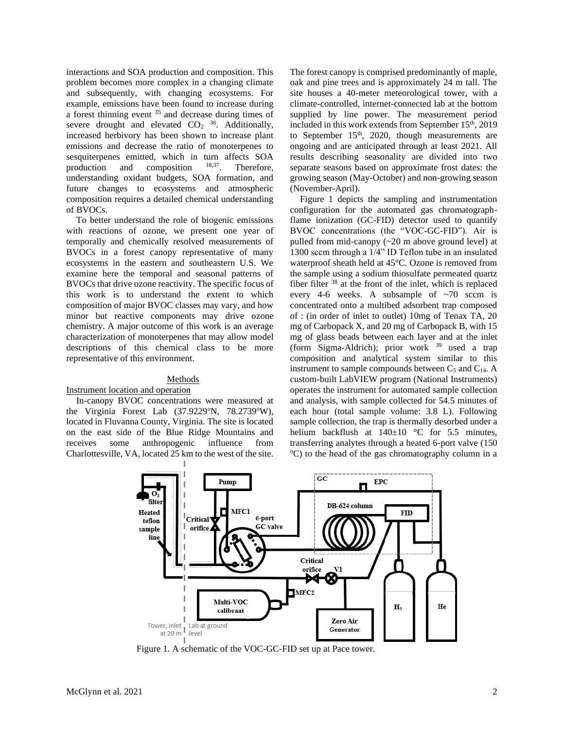interactions and SOA production and composition. This problem becomes more complex in a changing climate and subsequently, with changing ecosystems. For example, emissions have been found to increase during a forest thinning event  $35$  and decrease during times of severe drought and elevated  $CO<sub>2</sub>$  <sup>36</sup>. Additionally, increased herbivory has been shown to increase plant emissions and decrease the ratio of monoterpenes to sesquiterpenes emitted, which in turn affects  $SOA$ <br>production and composition  $18,37$  Therefore production and composition  $^{18,37}$ . Therefore, understanding oxidant budgets, SOA formation, and future changes to ecosystems and atmospheric composition requires a detailed chemical understanding of BVOCs.

To better understand the role of biogenic emissions with reactions of ozone, we present one year of temporally and chemically resolved measurements of BVOCs in a forest canopy representative of many ecosystems in the eastern and southeastern U.S. We examine here the temporal and seasonal patterns of BVOCs that drive ozone reactivity. The specific focus of this work is to understand the extent to which composition of major BVOC classes may vary, and how minor but reactive components may drive ozone chemistry. A major outcome of this work is an average characterization of monoterpenes that may allow model descriptions of this chemical class to be more representative of this environment.

## Methods

## Instrument location and operation

In-canopy BVOC concentrations were measured at the Virginia Forest Lab  $(37.9229)$ °N,  $78.2739$ °W), located in Fluvanna County, Virginia. The site is located on the east side of the Blue Ridge Mountains and receives some anthropogenic influence from Charlottesville, VA, located 25 km to the west of the site. The forest canopy is comprised predominantly of maple, oak and pine trees and is approximately 24 m tall. The site houses a 40-meter meteorological tower, with a climate-controlled, internet-connected lab at the bottom supplied by line power. The measurement period included in this work extends from September 15<sup>th</sup>, 2019 to September  $15<sup>th</sup>$ , 2020, though measurements are ongoing and are anticipated through at least 2021. All results describing seasonality are divided into two separate seasons based on approximate frost dates: the growing season (May-October) and non-growing season (November-April).

Figure 1 depicts the sampling and instrumentation configuration for the automated gas chromatographflame ionization (GC-FID) detector used to quantify BVOC concentrations (the "VOC-GC-FID"). Air is pulled from mid-canopy (~20 m above ground level) at 1300 sccm through a 1/4" ID Teflon tube in an insulated waterproof sheath held at 45°C. Ozone is removed from the sample using a sodium thiosulfate permeated quartz fiber filter <sup>38</sup> at the front of the inlet, which is replaced every 4-6 weeks. A subsample of  $\sim$ 70 sccm is concentrated onto a multibed adsorbent trap composed of : (in order of inlet to outlet) 10mg of Tenax TA, 20 mg of Carbopack X, and 20 mg of Carbopack B, with 15 mg of glass beads between each layer and at the inlet (form Sigma-Aldrich); prior work <sup>39</sup> used a trap composition and analytical system similar to this instrument to sample compounds between  $C_5$  and  $C_{14}$ . A custom-built LabVIEW program (National Instruments) operates the instrument for automated sample collection and analysis, with sample collected for 54.5 minutes of each hour (total sample volume: 3.8 L). Following sample collection, the trap is thermally desorbed under a helium backflush at  $140\pm10$  °C for 5.5 minutes, transferring analytes through a heated 6-port valve (150 <sup>o</sup>C) to the head of the gas chromatography column in a



Figure 1. A schematic of the VOC-GC-FID set up at Pace tower.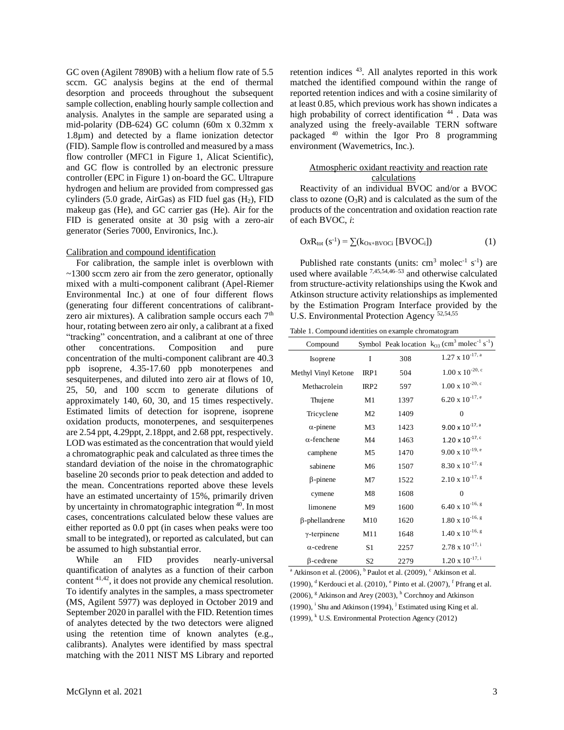GC oven (Agilent 7890B) with a helium flow rate of 5.5 sccm. GC analysis begins at the end of thermal desorption and proceeds throughout the subsequent sample collection, enabling hourly sample collection and analysis. Analytes in the sample are separated using a mid-polarity (DB-624) GC column (60m x 0.32mm x 1.8µm) and detected by a flame ionization detector (FID). Sample flow is controlled and measured by a mass flow controller (MFC1 in Figure 1, Alicat Scientific), and GC flow is controlled by an electronic pressure controller (EPC in Figure 1) on-board the GC. Ultrapure hydrogen and helium are provided from compressed gas cylinders (5.0 grade, AirGas) as FID fuel gas  $(H<sub>2</sub>)$ , FID makeup gas (He), and GC carrier gas (He). Air for the FID is generated onsite at 30 psig with a zero-air generator (Series 7000, Environics, Inc.).

#### Calibration and compound identification

For calibration, the sample inlet is overblown with ~1300 sccm zero air from the zero generator, optionally mixed with a multi-component calibrant (Apel-Riemer Environmental Inc.) at one of four different flows (generating four different concentrations of calibrantzero air mixtures). A calibration sample occurs each  $7<sup>th</sup>$ hour, rotating between zero air only, a calibrant at a fixed "tracking" concentration, and a calibrant at one of three other concentrations. Composition and pure concentration of the multi-component calibrant are 40.3 ppb isoprene, 4.35-17.60 ppb monoterpenes and sesquiterpenes, and diluted into zero air at flows of 10, 25, 50, and 100 sccm to generate dilutions of approximately 140, 60, 30, and 15 times respectively. Estimated limits of detection for isoprene, isoprene oxidation products, monoterpenes, and sesquiterpenes are 2.54 ppt, 4.29ppt, 2.18ppt, and 2.68 ppt, respectively. LOD was estimated as the concentration that would yield a chromatographic peak and calculated as three times the standard deviation of the noise in the chromatographic baseline 20 seconds prior to peak detection and added to the mean. Concentrations reported above these levels have an estimated uncertainty of 15%, primarily driven by uncertainty in chromatographic integration <sup>40</sup>. In most cases, concentrations calculated below these values are either reported as 0.0 ppt (in cases when peaks were too small to be integrated), or reported as calculated, but can be assumed to high substantial error.

While an FID provides nearly-universal quantification of analytes as a function of their carbon content 41,42, it does not provide any chemical resolution. To identify analytes in the samples, a mass spectrometer (MS, Agilent 5977) was deployed in October 2019 and September 2020 in parallel with the FID. Retention times of analytes detected by the two detectors were aligned using the retention time of known analytes (e.g., calibrants). Analytes were identified by mass spectral matching with the 2011 NIST MS Library and reported retention indices <sup>43</sup>. All analytes reported in this work matched the identified compound within the range of reported retention indices and with a cosine similarity of at least 0.85, which previous work has shown indicates a high probability of correct identification  $44$ . Data was analyzed using the freely-available TERN software packaged <sup>40</sup> within the Igor Pro 8 programming environment (Wavemetrics, Inc.).

## Atmospheric oxidant reactivity and reaction rate calculations

Reactivity of an individual BVOC and/or a BVOC class to ozone  $(O_3R)$  and is calculated as the sum of the products of the concentration and oxidation reaction rate of each BVOC, *i*:

$$
OxR_{\text{tot}}\left(s^{-1}\right) = \sum (k_{Ox+BVOCi}\left[BVOC_i\right])\tag{1}
$$

Published rate constants (units:  $cm<sup>3</sup>$  molec<sup>-1</sup> s<sup>-1</sup>) are used where available  $^{7,45,54,46-53}$  and otherwise calculated from structure-activity relationships using the Kwok and Atkinson structure activity relationships as implemented by the Estimation Program Interface provided by the U.S. Environmental Protection Agency 52,54,55

Table 1. Compound identities on example chromatogram

| Compound              |                  |      | Symbol Peak location $k_{O3}$ (cm <sup>3</sup> molec <sup>-1</sup> s <sup>-1</sup> ) |
|-----------------------|------------------|------|--------------------------------------------------------------------------------------|
| Isoprene              | I                | 308  | $1.27 \times 10^{-17}$ , a                                                           |
| Methyl Vinyl Ketone   | IRP1             | 504  | $1.00$ x $10^{-20, c}$                                                               |
| Methacrolein          | IRP <sub>2</sub> | 597  | $1.00$ x $10^{-20, c}$                                                               |
| Thujene               | M <sub>1</sub>   | 1397 | $6.20 \times 10^{-17}$ , e                                                           |
| Tricyclene            | M <sub>2</sub>   | 1409 | $\theta$                                                                             |
| $\alpha$ -pinene      | M <sub>3</sub>   | 1423 | $9.00 \times 10^{-17}$ , a                                                           |
| $\alpha$ -fenchene    | M <sub>4</sub>   | 1463 | $1.20 \times 10^{-17, c}$                                                            |
| camphene              | M <sub>5</sub>   | 1470 | $9.00 \times 10^{-19}$ , e                                                           |
| sabinene              | M6               | 1507 | $8.30 \times 10^{-17}$ , g                                                           |
| $\beta$ -pinene       | M <sub>7</sub>   | 1522 | $2.10 \times 10^{-17}$ , g                                                           |
| cymene                | M8               | 1608 | $\theta$                                                                             |
| limonene              | M9               | 1600 | $6.40 \times 10^{-16}$ , g                                                           |
| $\beta$ -phellandrene | M10              | 1620 | $1.80\ \mathrm{x}\ 10^{-16,\ \mathrm{g}}$                                            |
| $\gamma$ -terpinene   | M11              | 1648 | $1.40 \times 10^{-16}$ , g                                                           |
| $\alpha$ -cedrene     | S1               | 2257 | $2.78 \times 10^{-17, i}$                                                            |
| $\beta$ -cedrene      | S <sub>2</sub>   | 2279 | $1.20 \times 10^{-17, i}$                                                            |

<sup>a</sup> Atkinson et al. (2006), <sup>b</sup> Paulot et al. (2009), <sup>c</sup> Atkinson et al. (1990),  $^{\text{d}}$  Kerdouci et al. (2010),  $^{\text{e}}$  Pinto et al. (2007),  $^{\text{f}}$  Pfrang et al.  $(2006)$ , <sup>g</sup> Atkinson and Arey  $(2003)$ ,  $h$  Corchnoy and Atkinson  $(1990)$ , <sup>i</sup> Shu and Atkinson  $(1994)$ , <sup>j</sup> Estimated using King et al.  $(1999)$ , <sup>k</sup> U.S. Environmental Protection Agency (2012)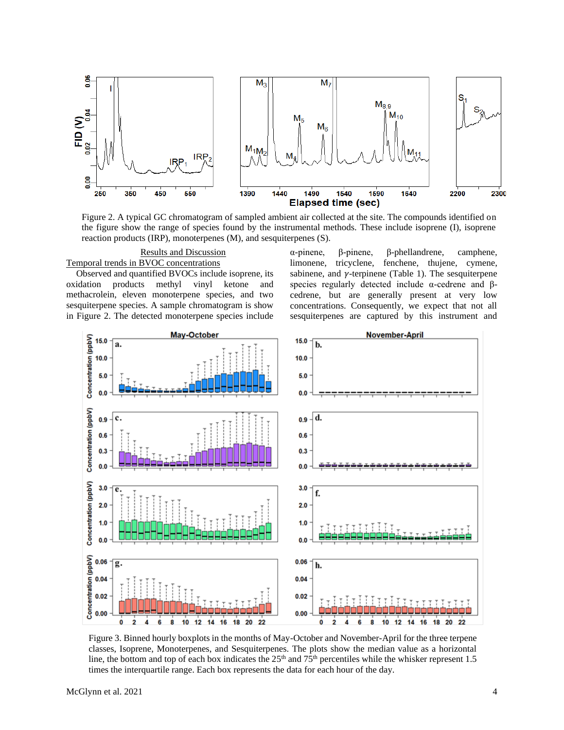

Figure 2. A typical GC chromatogram of sampled ambient air collected at the site. The compounds identified on the figure show the range of species found by the instrumental methods. These include isoprene (I), isoprene reaction products (IRP), monoterpenes (M), and sesquiterpenes (S).

Results and Discussion Temporal trends in BVOC concentrations

Observed and quantified BVOCs include isoprene, its oxidation products methyl vinyl ketone and methacrolein, eleven monoterpene species, and two sesquiterpene species. A sample chromatogram is show in Figure 2. The detected monoterpene species include α-pinene, β-pinene, β-phellandrene, camphene, limonene, tricyclene, fenchene, thujene, cymene, sabinene, and  $\gamma$ -terpinene (Table 1). The sesquiterpene species regularly detected include  $\alpha$ -cedrene and βcedrene, but are generally present at very low concentrations. Consequently, we expect that not all sesquiterpenes are captured by this instrument and



Figure 3. Binned hourly boxplots in the months of May-October and November-April for the three terpene classes, Isoprene, Monoterpenes, and Sesquiterpenes. The plots show the median value as a horizontal line, the bottom and top of each box indicates the  $25<sup>th</sup>$  and  $75<sup>th</sup>$  percentiles while the whisker represent 1.5 times the interquartile range. Each box represents the data for each hour of the day.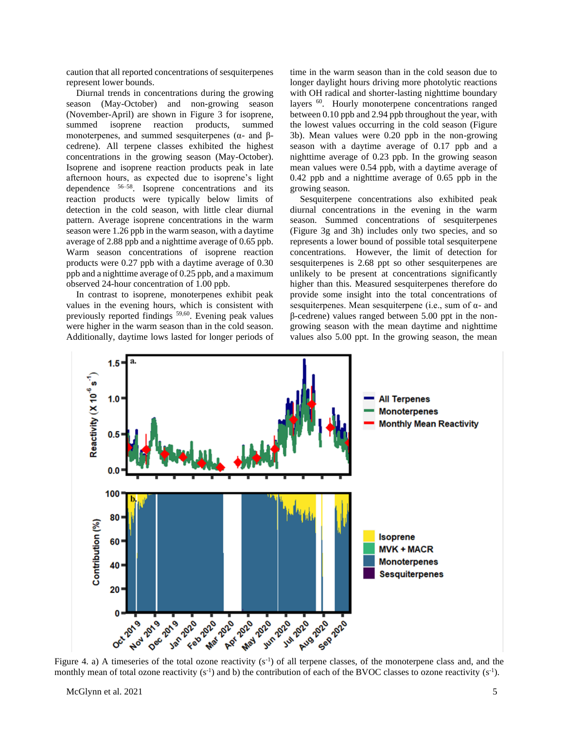caution that all reported concentrations of sesquiterpenes represent lower bounds.

Diurnal trends in concentrations during the growing season (May-October) and non-growing season (November-April) are shown in Figure 3 for isoprene, summed isoprene reaction products, summed monoterpenes, and summed sesquiterpenes ( $α$ - and  $β$ cedrene). All terpene classes exhibited the highest concentrations in the growing season (May-October). Isoprene and isoprene reaction products peak in late afternoon hours, as expected due to isoprene's light dependence 56–58. Isoprene concentrations and its reaction products were typically below limits of detection in the cold season, with little clear diurnal pattern. Average isoprene concentrations in the warm season were 1.26 ppb in the warm season, with a daytime average of 2.88 ppb and a nighttime average of 0.65 ppb. Warm season concentrations of isoprene reaction products were 0.27 ppb with a daytime average of 0.30 ppb and a nighttime average of 0.25 ppb, and a maximum observed 24-hour concentration of 1.00 ppb.

In contrast to isoprene, monoterpenes exhibit peak values in the evening hours, which is consistent with previously reported findings 59,60. Evening peak values were higher in the warm season than in the cold season. Additionally, daytime lows lasted for longer periods of time in the warm season than in the cold season due to longer daylight hours driving more photolytic reactions with OH radical and shorter-lasting nighttime boundary layers <sup>60</sup>. Hourly monoterpene concentrations ranged between 0.10 ppb and 2.94 ppb throughout the year, with the lowest values occurring in the cold season (Figure 3b). Mean values were 0.20 ppb in the non-growing season with a daytime average of 0.17 ppb and a nighttime average of 0.23 ppb. In the growing season mean values were 0.54 ppb, with a daytime average of 0.42 ppb and a nighttime average of 0.65 ppb in the growing season.

Sesquiterpene concentrations also exhibited peak diurnal concentrations in the evening in the warm season. Summed concentrations of sesquiterpenes (Figure 3g and 3h) includes only two species, and so represents a lower bound of possible total sesquiterpene concentrations. However, the limit of detection for sesquiterpenes is 2.68 ppt so other sesquiterpenes are unlikely to be present at concentrations significantly higher than this. Measured sesquiterpenes therefore do provide some insight into the total concentrations of sesquiterpenes. Mean sesquiterpene (i.e., sum of α- and β-cedrene) values ranged between 5.00 ppt in the nongrowing season with the mean daytime and nighttime values also 5.00 ppt. In the growing season, the mean



Figure 4. a) A timeseries of the total ozone reactivity  $(s<sup>-1</sup>)$  of all terpene classes, of the monoterpene class and, and the monthly mean of total ozone reactivity  $(s^{-1})$  and b) the contribution of each of the BVOC classes to ozone reactivity  $(s^{-1})$ .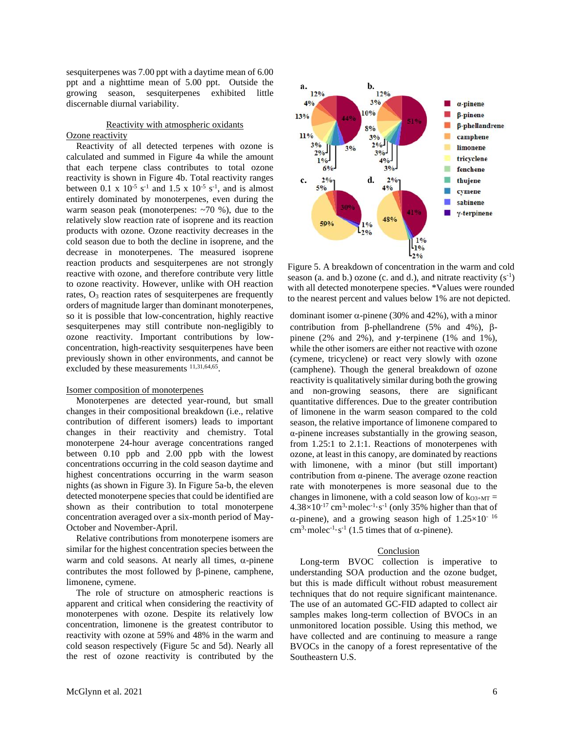sesquiterpenes was 7.00 ppt with a daytime mean of 6.00 ppt and a nighttime mean of 5.00 ppt. Outside the growing season, sesquiterpenes exhibited little discernable diurnal variability.

## Reactivity with atmospheric oxidants

#### Ozone reactivity

Reactivity of all detected terpenes with ozone is calculated and summed in Figure 4a while the amount that each terpene class contributes to total ozone reactivity is shown in Figure 4b. Total reactivity ranges between 0.1 x  $10^{-5}$  s<sup>-1</sup> and 1.5 x  $10^{-5}$  s<sup>-1</sup>, and is almost entirely dominated by monoterpenes, even during the warm season peak (monoterpenes:  $\sim$ 70 %), due to the relatively slow reaction rate of isoprene and its reaction products with ozone. Ozone reactivity decreases in the cold season due to both the decline in isoprene, and the decrease in monoterpenes. The measured isoprene reaction products and sesquiterpenes are not strongly reactive with ozone, and therefore contribute very little to ozone reactivity. However, unlike with OH reaction rates, O<sup>3</sup> reaction rates of sesquiterpenes are frequently orders of magnitude larger than dominant monoterpenes, so it is possible that low-concentration, highly reactive sesquiterpenes may still contribute non-negligibly to ozone reactivity. Important contributions by lowconcentration, high-reactivity sesquiterpenes have been previously shown in other environments, and cannot be excluded by these measurements  $11,31,64,65$ .

# Isomer composition of monoterpenes

Monoterpenes are detected year-round, but small changes in their compositional breakdown (i.e., relative contribution of different isomers) leads to important changes in their reactivity and chemistry. Total monoterpene 24-hour average concentrations ranged between 0.10 ppb and 2.00 ppb with the lowest concentrations occurring in the cold season daytime and highest concentrations occurring in the warm season nights (as shown in Figure 3). In Figure 5a-b, the eleven detected monoterpene species that could be identified are shown as their contribution to total monoterpene concentration averaged over a six-month period of May-October and November-April.

Relative contributions from monoterpene isomers are similar for the highest concentration species between the warm and cold seasons. At nearly all times,  $\alpha$ -pinene contributes the most followed by  $\beta$ -pinene, camphene, limonene, cymene.

The role of structure on atmospheric reactions is apparent and critical when considering the reactivity of monoterpenes with ozone. Despite its relatively low concentration, limonene is the greatest contributor to reactivity with ozone at 59% and 48% in the warm and cold season respectively (Figure 5c and 5d). Nearly all the rest of ozone reactivity is contributed by the



Figure 5. A breakdown of concentration in the warm and cold season (a. and b.) ozone (c. and d.), and nitrate reactivity  $(s^{-1})$ with all detected monoterpene species. \*Values were rounded to the nearest percent and values below 1% are not depicted.

dominant isomer  $\alpha$ -pinene (30% and 42%), with a minor contribution from  $\beta$ -phellandrene (5% and 4%),  $\beta$ pinene (2% and 2%), and  $\gamma$ -terpinene (1% and 1%), while the other isomers are either not reactive with ozone (cymene, tricyclene) or react very slowly with ozone (camphene). Though the general breakdown of ozone reactivity is qualitatively similar during both the growing and non-growing seasons, there are significant quantitative differences. Due to the greater contribution of limonene in the warm season compared to the cold season, the relative importance of limonene compared to α-pinene increases substantially in the growing season, from 1.25:1 to 2.1:1. Reactions of monoterpenes with ozone, at least in this canopy, are dominated by reactions with limonene, with a minor (but still important) contribution from α-pinene. The average ozone reaction rate with monoterpenes is more seasonal due to the changes in limonene, with a cold season low of  $k_{O3+MT}$  =  $4.38 \times 10^{-17}$  cm<sup>3</sup> molec<sup>-1</sup> s<sup>-1</sup> (only 35% higher than that of  $\alpha$ -pinene), and a growing season high of 1.25×10<sup>-16</sup> cm<sup>3</sup>·molec<sup>-1</sup>·s<sup>-1</sup> (1.5 times that of  $\alpha$ -pinene).

## **Conclusion**

Long-term BVOC collection is imperative to understanding SOA production and the ozone budget, but this is made difficult without robust measurement techniques that do not require significant maintenance. The use of an automated GC-FID adapted to collect air samples makes long-term collection of BVOCs in an unmonitored location possible. Using this method, we have collected and are continuing to measure a range BVOCs in the canopy of a forest representative of the Southeastern U.S.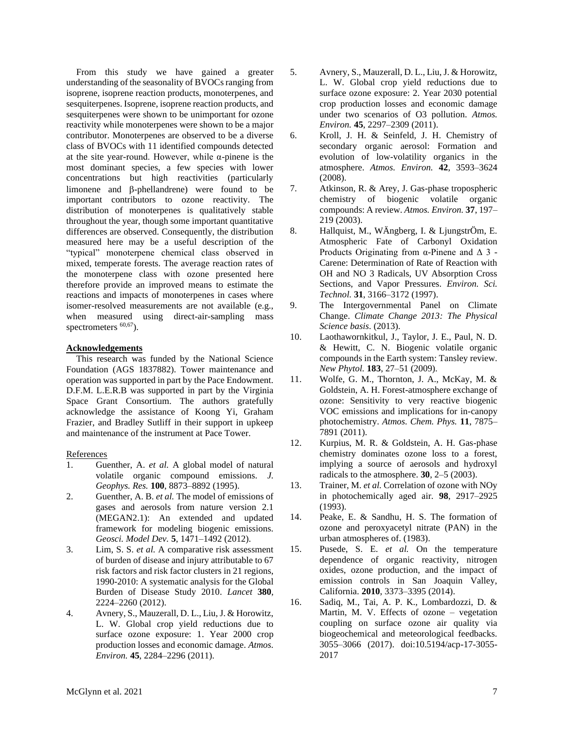From this study we have gained a greater understanding of the seasonality of BVOCs ranging from isoprene, isoprene reaction products, monoterpenes, and sesquiterpenes. Isoprene, isoprene reaction products, and sesquiterpenes were shown to be unimportant for ozone reactivity while monoterpenes were shown to be a major contributor. Monoterpenes are observed to be a diverse class of BVOCs with 11 identified compounds detected at the site year-round. However, while  $\alpha$ -pinene is the most dominant species, a few species with lower concentrations but high reactivities (particularly limonene and  $\beta$ -phellandrene) were found to be important contributors to ozone reactivity. The distribution of monoterpenes is qualitatively stable throughout the year, though some important quantitative differences are observed. Consequently, the distribution measured here may be a useful description of the "typical" monoterpene chemical class observed in mixed, temperate forests. The average reaction rates of the monoterpene class with ozone presented here therefore provide an improved means to estimate the reactions and impacts of monoterpenes in cases where isomer-resolved measurements are not available (e.g., when measured using direct-air-sampling mass spectrometers  $60,67$ ).

## **Acknowledgements**

This research was funded by the National Science Foundation (AGS 1837882). Tower maintenance and operation was supported in part by the Pace Endowment. D.F.M. L.E.R.B was supported in part by the Virginia Space Grant Consortium. The authors gratefully acknowledge the assistance of Koong Yi, Graham Frazier, and Bradley Sutliff in their support in upkeep and maintenance of the instrument at Pace Tower.

## References

- 1. Guenther, A. *et al.* A global model of natural volatile organic compound emissions. *J. Geophys. Res.* **100**, 8873–8892 (1995).
- 2. Guenther, A. B. *et al.* The model of emissions of gases and aerosols from nature version 2.1 (MEGAN2.1): An extended and updated framework for modeling biogenic emissions. *Geosci. Model Dev.* **5**, 1471–1492 (2012).
- 3. Lim, S. S. *et al.* A comparative risk assessment of burden of disease and injury attributable to 67 risk factors and risk factor clusters in 21 regions, 1990-2010: A systematic analysis for the Global Burden of Disease Study 2010. *Lancet* **380**, 2224–2260 (2012).
- 4. Avnery, S., Mauzerall, D. L., Liu, J. & Horowitz, L. W. Global crop yield reductions due to surface ozone exposure: 1. Year 2000 crop production losses and economic damage. *Atmos. Environ.* **45**, 2284–2296 (2011).
- 5. Avnery, S., Mauzerall, D. L., Liu, J. & Horowitz, L. W. Global crop yield reductions due to surface ozone exposure: 2. Year 2030 potential crop production losses and economic damage under two scenarios of O3 pollution. *Atmos. Environ.* **45**, 2297–2309 (2011).
- 6. Kroll, J. H. & Seinfeld, J. H. Chemistry of secondary organic aerosol: Formation and evolution of low-volatility organics in the atmosphere. *Atmos. Environ.* **42**, 3593–3624 (2008).
- 7. Atkinson, R. & Arey, J. Gas-phase tropospheric chemistry of biogenic volatile organic compounds: A review. *Atmos. Environ.* **37**, 197– 219 (2003).
- 8. Hallquist, M., WÄngberg, I. & LjungstrÖm, E. Atmospheric Fate of Carbonyl Oxidation Products Originating from  $\alpha$ -Pinene and  $\Delta$  3 -Carene: Determination of Rate of Reaction with OH and NO 3 Radicals, UV Absorption Cross Sections, and Vapor Pressures. *Environ. Sci. Technol.* **31**, 3166–3172 (1997).
- 9. The Intergovernmental Panel on Climate Change. *Climate Change 2013: The Physical Science basis*. (2013).
- 10. Laothawornkitkul, J., Taylor, J. E., Paul, N. D. & Hewitt, C. N. Biogenic volatile organic compounds in the Earth system: Tansley review. *New Phytol.* **183**, 27–51 (2009).
- 11. Wolfe, G. M., Thornton, J. A., McKay, M. & Goldstein, A. H. Forest-atmosphere exchange of ozone: Sensitivity to very reactive biogenic VOC emissions and implications for in-canopy photochemistry. *Atmos. Chem. Phys.* **11**, 7875– 7891 (2011).
- 12. Kurpius, M. R. & Goldstein, A. H. Gas-phase chemistry dominates ozone loss to a forest, implying a source of aerosols and hydroxyl radicals to the atmosphere. **30**, 2–5 (2003).
- 13. Trainer, M. *et al.* Correlation of ozone with NOy in photochemically aged air. **98**, 2917–2925 (1993).
- 14. Peake, E. & Sandhu, H. S. The formation of ozone and peroxyacetyl nitrate (PAN) in the urban atmospheres of. (1983).
- 15. Pusede, S. E. *et al.* On the temperature dependence of organic reactivity, nitrogen oxides, ozone production, and the impact of emission controls in San Joaquin Valley, California. **2010**, 3373–3395 (2014).
- 16. Sadiq, M., Tai, A. P. K., Lombardozzi, D. & Martin, M. V. Effects of ozone – vegetation coupling on surface ozone air quality via biogeochemical and meteorological feedbacks. 3055–3066 (2017). doi:10.5194/acp-17-3055- 2017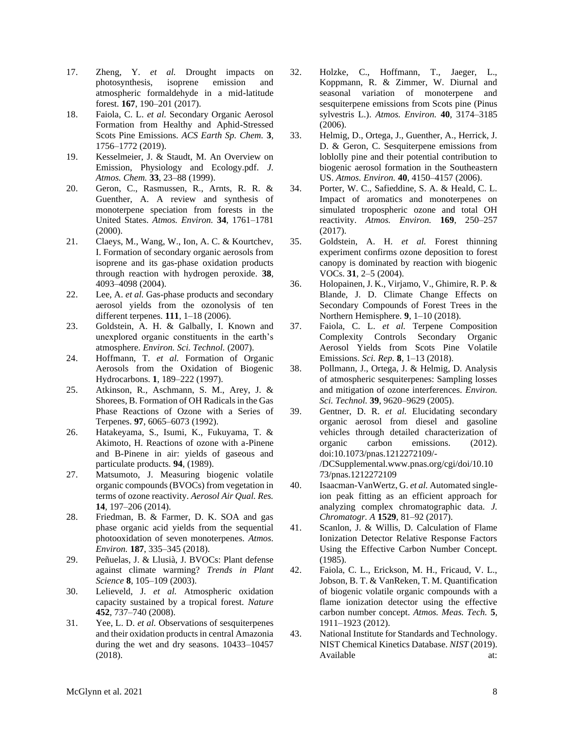- 17. Zheng, Y. *et al.* Drought impacts on photosynthesis, isoprene emission and atmospheric formaldehyde in a mid-latitude forest. **167**, 190–201 (2017).
- 18. Faiola, C. L. *et al.* Secondary Organic Aerosol Formation from Healthy and Aphid-Stressed Scots Pine Emissions. *ACS Earth Sp. Chem.* **3**, 1756–1772 (2019).
- 19. Kesselmeier, J. & Staudt, M. An Overview on Emission, Physiology and Ecology.pdf. *J. Atmos. Chem.* **33**, 23–88 (1999).
- 20. Geron, C., Rasmussen, R., Arnts, R. R. & Guenther, A. A review and synthesis of monoterpene speciation from forests in the United States. *Atmos. Environ.* **34**, 1761–1781 (2000).
- 21. Claeys, M., Wang, W., Ion, A. C. & Kourtchev, I. Formation of secondary organic aerosols from isoprene and its gas-phase oxidation products through reaction with hydrogen peroxide. **38**, 4093–4098 (2004).
- 22. Lee, A. *et al.* Gas-phase products and secondary aerosol yields from the ozonolysis of ten different terpenes. **111**, 1–18 (2006).
- 23. Goldstein, A. H. & Galbally, I. Known and unexplored organic constituents in the earth's atmosphere. *Environ. Sci. Technol.* (2007).
- 24. Hoffmann, T. *et al.* Formation of Organic Aerosols from the Oxidation of Biogenic Hydrocarbons. **1**, 189–222 (1997).
- 25. Atkinson, R., Aschmann, S. M., Arey, J. & Shorees, B. Formation of OH Radicals in the Gas Phase Reactions of Ozone with a Series of Terpenes. **97**, 6065–6073 (1992).
- 26. Hatakeyama, S., Isumi, K., Fukuyama, T. & Akimoto, H. Reactions of ozone with a-Pinene and B-Pinene in air: yields of gaseous and particulate products. **94**, (1989).
- 27. Matsumoto, J. Measuring biogenic volatile organic compounds (BVOCs) from vegetation in terms of ozone reactivity. *Aerosol Air Qual. Res.* **14**, 197–206 (2014).
- 28. Friedman, B. & Farmer, D. K. SOA and gas phase organic acid yields from the sequential photooxidation of seven monoterpenes. *Atmos. Environ.* **187**, 335–345 (2018).
- 29. Peñuelas, J. & Llusià, J. BVOCs: Plant defense against climate warming? *Trends in Plant Science* **8**, 105–109 (2003).
- 30. Lelieveld, J. *et al.* Atmospheric oxidation capacity sustained by a tropical forest. *Nature* **452**, 737–740 (2008).
- 31. Yee, L. D. *et al.* Observations of sesquiterpenes and their oxidation products in central Amazonia during the wet and dry seasons. 10433–10457 (2018).
- 32. Holzke, C., Hoffmann, T., Jaeger, L., Koppmann, R. & Zimmer, W. Diurnal and seasonal variation of monoterpene and sesquiterpene emissions from Scots pine (Pinus sylvestris L.). *Atmos. Environ.* **40**, 3174–3185 (2006).
- 33. Helmig, D., Ortega, J., Guenther, A., Herrick, J. D. & Geron, C. Sesquiterpene emissions from loblolly pine and their potential contribution to biogenic aerosol formation in the Southeastern US. *Atmos. Environ.* **40**, 4150–4157 (2006).
- 34. Porter, W. C., Safieddine, S. A. & Heald, C. L. Impact of aromatics and monoterpenes on simulated tropospheric ozone and total OH reactivity. *Atmos. Environ.* **169**, 250–257 (2017).
- 35. Goldstein, A. H. *et al.* Forest thinning experiment confirms ozone deposition to forest canopy is dominated by reaction with biogenic VOCs. **31**, 2–5 (2004).
- 36. Holopainen, J. K., Virjamo, V., Ghimire, R. P. & Blande, J. D. Climate Change Effects on Secondary Compounds of Forest Trees in the Northern Hemisphere. **9**, 1–10 (2018).
- 37. Faiola, C. L. *et al.* Terpene Composition Complexity Controls Secondary Organic Aerosol Yields from Scots Pine Volatile Emissions. *Sci. Rep.* **8**, 1–13 (2018).
- 38. Pollmann, J., Ortega, J. & Helmig, D. Analysis of atmospheric sesquiterpenes: Sampling losses and mitigation of ozone interferences. *Environ. Sci. Technol.* **39**, 9620–9629 (2005).
- 39. Gentner, D. R. *et al.* Elucidating secondary organic aerosol from diesel and gasoline vehicles through detailed characterization of organic carbon emissions. (2012). doi:10.1073/pnas.1212272109/- /DCSupplemental.www.pnas.org/cgi/doi/10.10 73/pnas.1212272109
- 40. Isaacman-VanWertz, G. *et al.* Automated singleion peak fitting as an efficient approach for analyzing complex chromatographic data. *J. Chromatogr. A* **1529**, 81–92 (2017).
- 41. Scanlon, J. & Willis, D. Calculation of Flame Ionization Detector Relative Response Factors Using the Effective Carbon Number Concept. (1985).
- 42. Faiola, C. L., Erickson, M. H., Fricaud, V. L., Jobson, B. T. & VanReken, T. M. Quantification of biogenic volatile organic compounds with a flame ionization detector using the effective carbon number concept. *Atmos. Meas. Tech.* **5**, 1911–1923 (2012).
- 43. National Institute for Standards and Technology. NIST Chemical Kinetics Database. *NIST* (2019). Available at: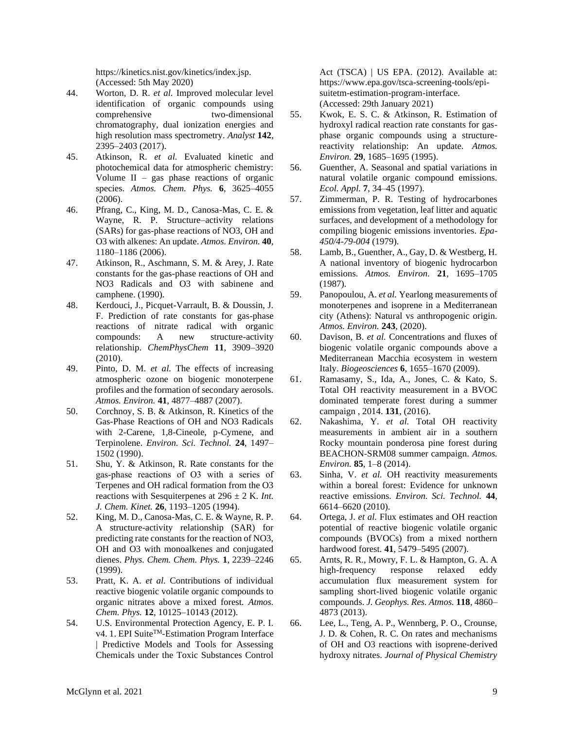https://kinetics.nist.gov/kinetics/index.jsp. (Accessed: 5th May 2020)

- 44. Worton, D. R. *et al.* Improved molecular level identification of organic compounds using comprehensive two-dimensional chromatography, dual ionization energies and high resolution mass spectrometry. *Analyst* **142**, 2395–2403 (2017).
- 45. Atkinson, R. *et al.* Evaluated kinetic and photochemical data for atmospheric chemistry: Volume  $II - gas$  phase reactions of organic species. *Atmos. Chem. Phys.* **6**, 3625–4055 (2006).
- 46. Pfrang, C., King, M. D., Canosa-Mas, C. E. & Wayne, R. P. Structure–activity relations (SARs) for gas-phase reactions of NO3, OH and O3 with alkenes: An update. *Atmos. Environ.* **40**, 1180–1186 (2006).
- 47. Atkinson, R., Aschmann, S. M. & Arey, J. Rate constants for the gas-phase reactions of OH and NO3 Radicals and O3 with sabinene and camphene. (1990).
- 48. Kerdouci, J., Picquet-Varrault, B. & Doussin, J. F. Prediction of rate constants for gas-phase reactions of nitrate radical with organic compounds: A new structure-activity relationship. *ChemPhysChem* **11**, 3909–3920 (2010).
- 49. Pinto, D. M. *et al.* The effects of increasing atmospheric ozone on biogenic monoterpene profiles and the formation of secondary aerosols. *Atmos. Environ.* **41**, 4877–4887 (2007).
- 50. Corchnoy, S. B. & Atkinson, R. Kinetics of the Gas-Phase Reactions of OH and NO3 Radicals with 2-Carene, 1,8-Cineole, p-Cymene, and Terpinolene. *Environ. Sci. Technol.* **24**, 1497– 1502 (1990).
- 51. Shu, Y. & Atkinson, R. Rate constants for the gas‐phase reactions of O3 with a series of Terpenes and OH radical formation from the O3 reactions with Sesquiterpenes at  $296 \pm 2$  K. *Int. J. Chem. Kinet.* **26**, 1193–1205 (1994).
- 52. King, M. D., Canosa-Mas, C. E. & Wayne, R. P. A structure-activity relationship (SAR) for predicting rate constants for the reaction of NO3, OH and O3 with monoalkenes and conjugated dienes. *Phys. Chem. Chem. Phys.* **1**, 2239–2246 (1999).
- 53. Pratt, K. A. *et al.* Contributions of individual reactive biogenic volatile organic compounds to organic nitrates above a mixed forest. *Atmos. Chem. Phys.* **12**, 10125–10143 (2012).
- 54. U.S. Environmental Protection Agency, E. P. I. v4. 1. EPI Suite<sup>TM</sup>-Estimation Program Interface | Predictive Models and Tools for Assessing Chemicals under the Toxic Substances Control

Act (TSCA) | US EPA. (2012). Available at: https://www.epa.gov/tsca-screening-tools/episuitetm-estimation-program-interface. (Accessed: 29th January 2021)

- 55. Kwok, E. S. C. & Atkinson, R. Estimation of hydroxyl radical reaction rate constants for gasphase organic compounds using a structurereactivity relationship: An update. *Atmos. Environ.* **29**, 1685–1695 (1995).
- 56. Guenther, A. Seasonal and spatial variations in natural volatile organic compound emissions. *Ecol. Appl.* **7**, 34–45 (1997).
- 57. Zimmerman, P. R. Testing of hydrocarbones emissions from vegetation, leaf litter and aquatic surfaces, and development of a methodology for compiling biogenic emissions inventories. *Epa-450/4-79-004* (1979).
- 58. Lamb, B., Guenther, A., Gay, D. & Westberg, H. A national inventory of biogenic hydrocarbon emissions. *Atmos. Environ.* **21**, 1695–1705 (1987).
- 59. Panopoulou, A. *et al.* Yearlong measurements of monoterpenes and isoprene in a Mediterranean city (Athens): Natural vs anthropogenic origin. *Atmos. Environ.* **243**, (2020).
- 60. Davison, B. *et al.* Concentrations and fluxes of biogenic volatile organic compounds above a Mediterranean Macchia ecosystem in western Italy. *Biogeosciences* **6**, 1655–1670 (2009).
- 61. Ramasamy, S., Ida, A., Jones, C. & Kato, S. Total OH reactivity measurement in a BVOC dominated temperate forest during a summer campaign , 2014. **131**, (2016).
- 62. Nakashima, Y. *et al.* Total OH reactivity measurements in ambient air in a southern Rocky mountain ponderosa pine forest during BEACHON-SRM08 summer campaign. *Atmos. Environ.* **85**, 1–8 (2014).
- 63. Sinha, V. *et al.* OH reactivity measurements within a boreal forest: Evidence for unknown reactive emissions. *Environ. Sci. Technol.* **44**, 6614–6620 (2010).
- 64. Ortega, J. *et al.* Flux estimates and OH reaction potential of reactive biogenic volatile organic compounds (BVOCs) from a mixed northern hardwood forest. **41**, 5479–5495 (2007).
- 65. Arnts, R. R., Mowry, F. L. & Hampton, G. A. A high-frequency response relaxed eddy accumulation flux measurement system for sampling short-lived biogenic volatile organic compounds. *J. Geophys. Res. Atmos.* **118**, 4860– 4873 (2013).
- 66. Lee, L., Teng, A. P., Wennberg, P. O., Crounse, J. D. & Cohen, R. C. On rates and mechanisms of OH and O3 reactions with isoprene-derived hydroxy nitrates. *Journal of Physical Chemistry*